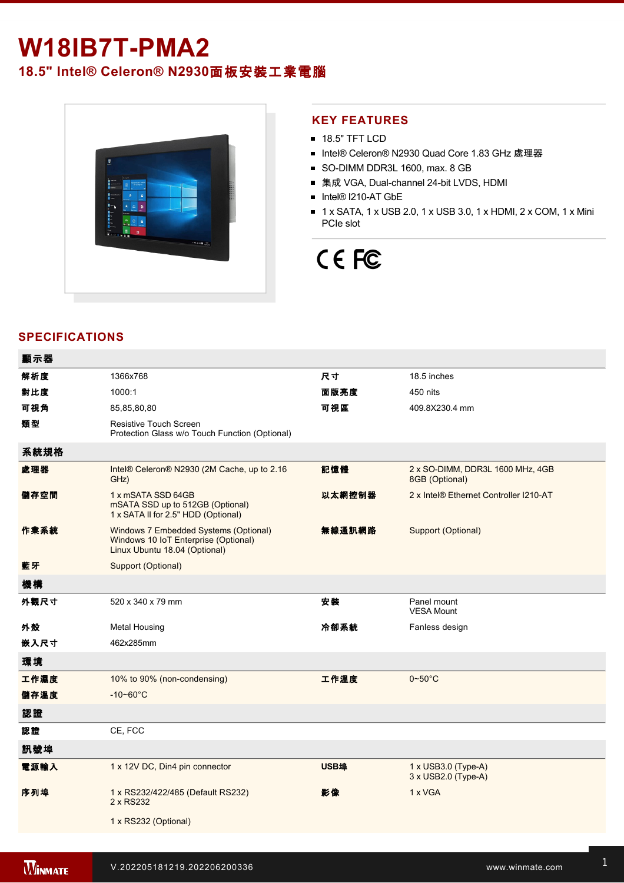## **W18IB7T-PMA2**

### **18.5" Intel® Celeron® N2930**面板安裝工業電腦



#### **KEY FEATURES**

- **18.5" TFT LCD**
- Intel® Celeron® N2930 Quad Core 1.83 GHz 處理器
- SO-DIMM DDR3L 1600, max. 8 GB
- 集成 VGA, Dual-channel 24-bit LVDS, HDMI
- Intel® I210-AT GbE
- 1 x SATA, 1 x USB 2.0, 1 x USB 3.0, 1 x HDMI, 2 x COM, 1 x Mini PCIe slot

# CE FC

### **SPECIFICATIONS**

| 顯示器  |                                                                                                                |        |                                                                 |
|------|----------------------------------------------------------------------------------------------------------------|--------|-----------------------------------------------------------------|
| 解析度  | 1366x768                                                                                                       | 尺寸     | 18.5 inches                                                     |
| 對比度  | 1000:1                                                                                                         | 面版亮度   | 450 nits                                                        |
| 可視角  | 85,85,80,80                                                                                                    | 可視區    | 409.8X230.4 mm                                                  |
| 類型   | Resistive Touch Screen<br>Protection Glass w/o Touch Function (Optional)                                       |        |                                                                 |
| 系統規格 |                                                                                                                |        |                                                                 |
| 處理器  | Intel® Celeron® N2930 (2M Cache, up to 2.16<br>GHz)                                                            | 記憶體    | 2 x SO-DIMM, DDR3L 1600 MHz, 4GB<br>8GB (Optional)              |
| 儲存空間 | 1 x mSATA SSD 64GB<br>mSATA SSD up to 512GB (Optional)<br>1 x SATA II for 2.5" HDD (Optional)                  | 以太網控制器 | 2 x Intel® Ethernet Controller I210-AT                          |
| 作業系統 | Windows 7 Embedded Systems (Optional)<br>Windows 10 IoT Enterprise (Optional)<br>Linux Ubuntu 18.04 (Optional) | 無線通訊網路 | Support (Optional)                                              |
| 藍牙   | Support (Optional)                                                                                             |        |                                                                 |
| 機構   |                                                                                                                |        |                                                                 |
| 外觀尺寸 | 520 x 340 x 79 mm                                                                                              | 安裝     | Panel mount<br><b>VESA Mount</b>                                |
| 外殼   | <b>Metal Housing</b>                                                                                           | 冷卻系統   | Fanless design                                                  |
| 嵌入尺寸 | 462x285mm                                                                                                      |        |                                                                 |
| 環境   |                                                                                                                |        |                                                                 |
| 工作濕度 | 10% to 90% (non-condensing)                                                                                    | 工作溫度   | $0\negthinspace\negthinspace\negthinspace 50^{\circ}\mathrm{C}$ |
| 儲存溫度 | $-10 - 60^{\circ}$ C                                                                                           |        |                                                                 |
| 認證   |                                                                                                                |        |                                                                 |
| 認證   | CE, FCC                                                                                                        |        |                                                                 |
| 訊號埠  |                                                                                                                |        |                                                                 |
| 電源輸入 | 1 x 12V DC, Din4 pin connector                                                                                 | USB埠   | 1 x USB3.0 (Type-A)<br>3 x USB2.0 (Type-A)                      |
| 序列埠  | 1 x RS232/422/485 (Default RS232)<br>2 x RS232                                                                 | 影像     | 1 x VGA                                                         |
|      | 1 x RS232 (Optional)                                                                                           |        |                                                                 |
|      |                                                                                                                |        |                                                                 |

Line in

1 x Led indicator for storage and the storage storage in the storage storage storage storage storage storage s